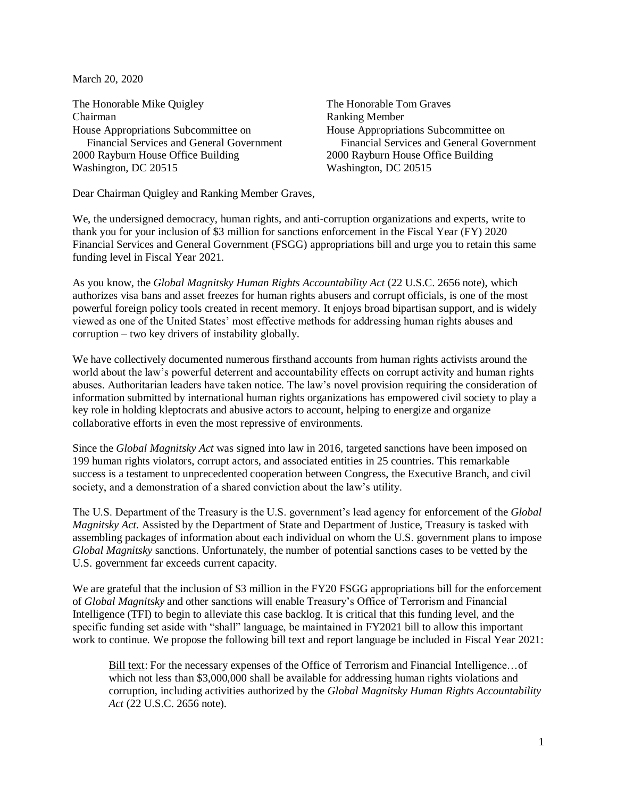March 20, 2020

The Honorable Mike Quigley The Honorable Tom Graves Chairman Ranking Member House Appropriations Subcommittee on House Appropriations Subcommittee on 2000 Rayburn House Office Building 2000 Rayburn House Office Building Washington, DC 20515 Washington, DC 20515

Financial Services and General Government Financial Services and General Government

Dear Chairman Quigley and Ranking Member Graves,

We, the undersigned democracy, human rights, and anti-corruption organizations and experts, write to thank you for your inclusion of \$3 million for sanctions enforcement in the Fiscal Year (FY) 2020 Financial Services and General Government (FSGG) appropriations bill and urge you to retain this same funding level in Fiscal Year 2021.

As you know, the *Global Magnitsky Human Rights Accountability Act* (22 U.S.C. 2656 note), which authorizes visa bans and asset freezes for human rights abusers and corrupt officials, is one of the most powerful foreign policy tools created in recent memory. It enjoys broad bipartisan support, and is widely viewed as one of the United States' most effective methods for addressing human rights abuses and corruption – two key drivers of instability globally.

We have collectively documented numerous firsthand accounts from human rights activists around the world about the law's powerful deterrent and accountability effects on corrupt activity and human rights abuses. Authoritarian leaders have taken notice. The law's novel provision requiring the consideration of information submitted by international human rights organizations has empowered civil society to play a key role in holding kleptocrats and abusive actors to account, helping to energize and organize collaborative efforts in even the most repressive of environments.

Since the *Global Magnitsky Act* was signed into law in 2016, targeted sanctions have been imposed on 199 human rights violators, corrupt actors, and associated entities in 25 countries. This remarkable success is a testament to unprecedented cooperation between Congress, the Executive Branch, and civil society, and a demonstration of a shared conviction about the law's utility.

The U.S. Department of the Treasury is the U.S. government's lead agency for enforcement of the *Global Magnitsky Act.* Assisted by the Department of State and Department of Justice, Treasury is tasked with assembling packages of information about each individual on whom the U.S. government plans to impose *Global Magnitsky* sanctions. Unfortunately, the number of potential sanctions cases to be vetted by the U.S. government far exceeds current capacity.

We are grateful that the inclusion of \$3 million in the FY20 FSGG appropriations bill for the enforcement of *Global Magnitsky* and other sanctions will enable Treasury's Office of Terrorism and Financial Intelligence (TFI) to begin to alleviate this case backlog. It is critical that this funding level, and the specific funding set aside with "shall" language, be maintained in FY2021 bill to allow this important work to continue. We propose the following bill text and report language be included in Fiscal Year 2021:

Bill text: For the necessary expenses of the Office of Terrorism and Financial Intelligence... of which not less than \$3,000,000 shall be available for addressing human rights violations and corruption, including activities authorized by the *Global Magnitsky Human Rights Accountability Act* (22 U.S.C. 2656 note).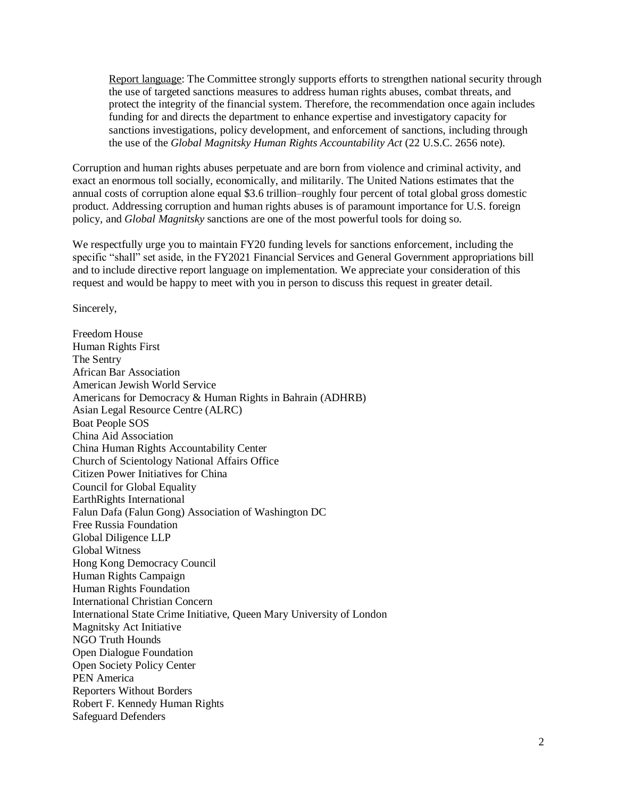Report language: The Committee strongly supports efforts to strengthen national security through the use of targeted sanctions measures to address human rights abuses, combat threats, and protect the integrity of the financial system. Therefore, the recommendation once again includes funding for and directs the department to enhance expertise and investigatory capacity for sanctions investigations, policy development, and enforcement of sanctions, including through the use of the *Global Magnitsky Human Rights Accountability Act* (22 U.S.C. 2656 note).

Corruption and human rights abuses perpetuate and are born from violence and criminal activity, and exact an enormous toll socially, economically, and militarily. The United Nations estimates that the annual costs of corruption alone equal \$3.6 trillion–roughly four percent of total global gross domestic product. Addressing corruption and human rights abuses is of paramount importance for U.S. foreign policy, and *Global Magnitsky* sanctions are one of the most powerful tools for doing so.

We respectfully urge you to maintain FY20 funding levels for sanctions enforcement, including the specific "shall" set aside, in the FY2021 Financial Services and General Government appropriations bill and to include directive report language on implementation. We appreciate your consideration of this request and would be happy to meet with you in person to discuss this request in greater detail.

Sincerely,

Freedom House Human Rights First The Sentry African Bar Association American Jewish World Service Americans for Democracy & Human Rights in Bahrain (ADHRB) Asian Legal Resource Centre (ALRC) Boat People SOS China Aid Association China Human Rights Accountability Center Church of Scientology National Affairs Office Citizen Power Initiatives for China Council for Global Equality EarthRights International Falun Dafa (Falun Gong) Association of Washington DC Free Russia Foundation Global Diligence LLP Global Witness Hong Kong Democracy Council Human Rights Campaign Human Rights Foundation International Christian Concern International State Crime Initiative, Queen Mary University of London Magnitsky Act Initiative NGO Truth Hounds Open Dialogue Foundation Open Society Policy Center PEN America Reporters Without Borders Robert F. Kennedy Human Rights Safeguard Defenders